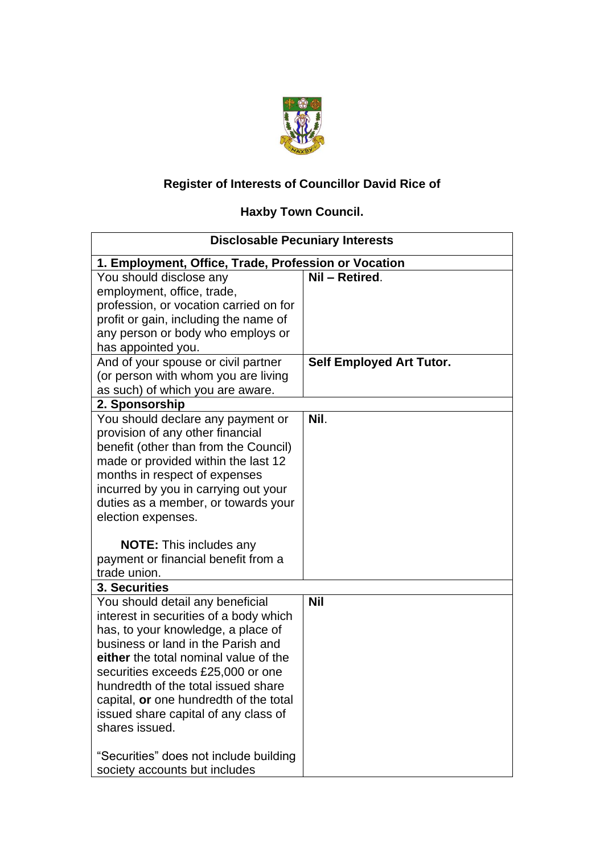

## **Register of Interests of Councillor David Rice of**

## **Haxby Town Council.**

| <b>Disclosable Pecuniary Interests</b>                                                                                                                                                                                                                                                                                                                                                           |                                 |  |  |  |
|--------------------------------------------------------------------------------------------------------------------------------------------------------------------------------------------------------------------------------------------------------------------------------------------------------------------------------------------------------------------------------------------------|---------------------------------|--|--|--|
| 1. Employment, Office, Trade, Profession or Vocation                                                                                                                                                                                                                                                                                                                                             |                                 |  |  |  |
| You should disclose any<br>employment, office, trade,<br>profession, or vocation carried on for<br>profit or gain, including the name of<br>any person or body who employs or                                                                                                                                                                                                                    | Nil - Retired.                  |  |  |  |
| has appointed you.<br>And of your spouse or civil partner<br>(or person with whom you are living<br>as such) of which you are aware.                                                                                                                                                                                                                                                             | <b>Self Employed Art Tutor.</b> |  |  |  |
| 2. Sponsorship                                                                                                                                                                                                                                                                                                                                                                                   |                                 |  |  |  |
| You should declare any payment or<br>provision of any other financial<br>benefit (other than from the Council)<br>made or provided within the last 12<br>months in respect of expenses<br>incurred by you in carrying out your<br>duties as a member, or towards your<br>election expenses.<br><b>NOTE:</b> This includes any<br>payment or financial benefit from a                             | Nil.                            |  |  |  |
| trade union.                                                                                                                                                                                                                                                                                                                                                                                     |                                 |  |  |  |
| 3. Securities<br>You should detail any beneficial<br>interest in securities of a body which<br>has, to your knowledge, a place of<br>business or land in the Parish and<br>either the total nominal value of the<br>securities exceeds £25,000 or one<br>hundredth of the total issued share<br>capital, or one hundredth of the total<br>issued share capital of any class of<br>shares issued. | <b>Nil</b>                      |  |  |  |
| "Securities" does not include building<br>society accounts but includes                                                                                                                                                                                                                                                                                                                          |                                 |  |  |  |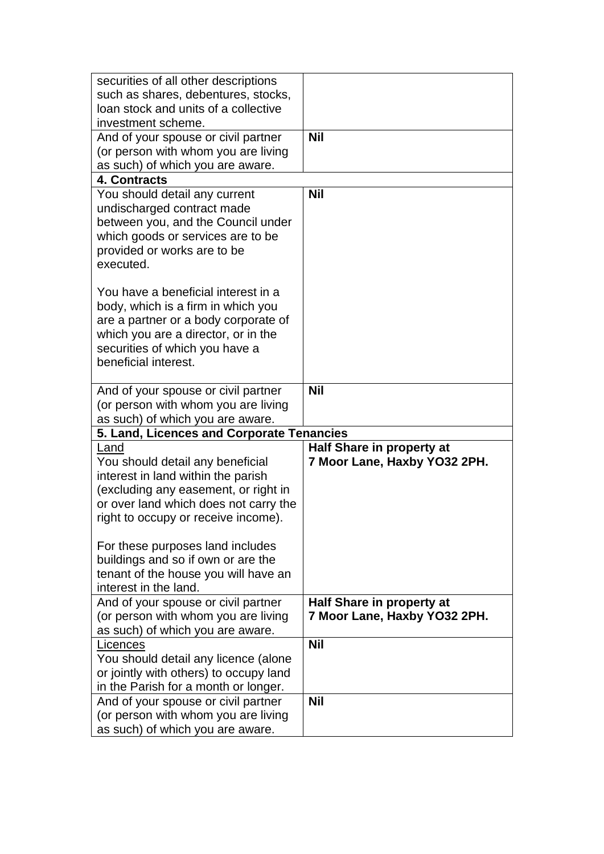| securities of all other descriptions                                    |                              |
|-------------------------------------------------------------------------|------------------------------|
| such as shares, debentures, stocks,                                     |                              |
| loan stock and units of a collective                                    |                              |
| investment scheme.                                                      |                              |
| And of your spouse or civil partner                                     | <b>Nil</b>                   |
| (or person with whom you are living                                     |                              |
| as such) of which you are aware.                                        |                              |
| 4. Contracts                                                            |                              |
| You should detail any current                                           | <b>Nil</b>                   |
| undischarged contract made                                              |                              |
| between you, and the Council under                                      |                              |
| which goods or services are to be                                       |                              |
| provided or works are to be                                             |                              |
| executed.                                                               |                              |
|                                                                         |                              |
| You have a beneficial interest in a                                     |                              |
| body, which is a firm in which you                                      |                              |
| are a partner or a body corporate of                                    |                              |
| which you are a director, or in the                                     |                              |
| securities of which you have a                                          |                              |
| beneficial interest.                                                    |                              |
|                                                                         |                              |
| And of your spouse or civil partner                                     | <b>Nil</b>                   |
| (or person with whom you are living                                     |                              |
| as such) of which you are aware.                                        |                              |
|                                                                         |                              |
| 5. Land, Licences and Corporate Tenancies                               |                              |
| Land                                                                    | Half Share in property at    |
| You should detail any beneficial                                        | 7 Moor Lane, Haxby YO32 2PH. |
| interest in land within the parish                                      |                              |
| (excluding any easement, or right in                                    |                              |
| or over land which does not carry the                                   |                              |
| right to occupy or receive income).                                     |                              |
|                                                                         |                              |
| For these purposes land includes                                        |                              |
| buildings and so if own or are the                                      |                              |
| tenant of the house you will have an                                    |                              |
| interest in the land.                                                   |                              |
| And of your spouse or civil partner                                     | Half Share in property at    |
| (or person with whom you are living                                     | 7 Moor Lane, Haxby YO32 2PH. |
| as such) of which you are aware.                                        |                              |
| Licences                                                                | <b>Nil</b>                   |
| You should detail any licence (alone                                    |                              |
| or jointly with others) to occupy land                                  |                              |
| in the Parish for a month or longer.                                    |                              |
| And of your spouse or civil partner                                     | <b>Nil</b>                   |
| (or person with whom you are living<br>as such) of which you are aware. |                              |